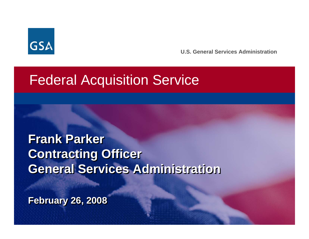

**U.S. General Services Administration**

### Federal Acquisition Service

**Frank Parker Frank Parker Contracting Officer Contracting Officer General Services Administration General Services Administration**

**February 26, 2008 February 26, 2008**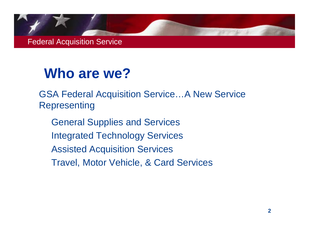### **Who are we?**

 GSA Federal Acquisition Service…A New Service **Representing** 

 General Supplies and Services Integrated Technology Services Assisted Acquisition Services Travel, Motor Vehicle, & Card Services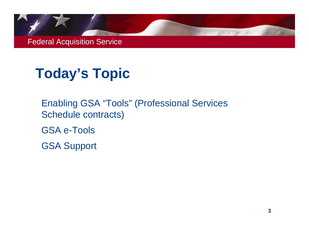## **Today's Topic**

 Enabling GSA "Tools" (Professional Services Schedule contracts)

GSA e-Tools

GSA Support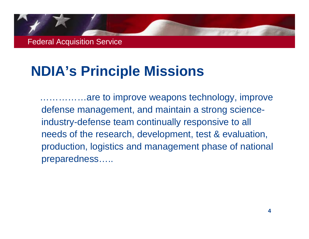## **NDIA's Principle Missions**

……………are to improve weapons technology, improve defense management, and maintain a strong scienceindustry-defense team continually responsive to all needs of the research, development, test & evaluation, production, logistics and management phase of national preparedness…..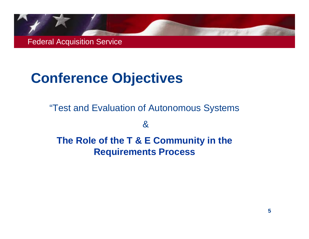## **Conference Objectives**

"Test and Evaluation of Autonomous Systems

&

 **The Role of the T & E Community in the Requirements Process**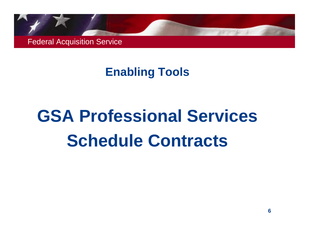#### **Enabling Tools**

# **GSA Professional Services Schedule Contracts**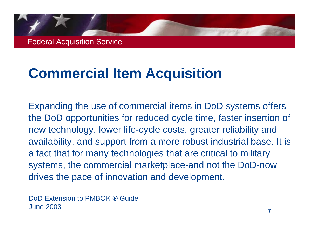## **Commercial Item Acquisition**

Expanding the use of commercial items in DoD systems offers the DoD opportunities for reduced cycle time, faster insertion of new technology, lower life-cycle costs, greater reliability and availability, and support from a more robust industrial base. It is a fact that for many technologies that are critical to military systems, the commercial marketplace-and not the DoD-now drives the pace of innovation and development.

DoD Extension to PMBOK *®* Guide June 2003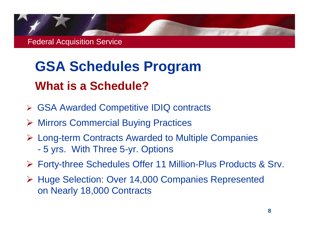## **GSA Schedules Program What is a Schedule?**

- ¾ GSA Awarded Competitive IDIQ contracts
- ¾ Mirrors Commercial Buying Practices
- ¾ Long-term Contracts Awarded to Multiple Companies -5 yrs. With Three 5-yr. Options
- ¾ Forty-three Schedules Offer 11 Million-Plus Products & Srv.
- ¾ Huge Selection: Over 14,000 Companies Represented on Nearly 18,000 Contracts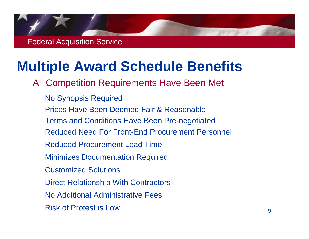### **Multiple Award Schedule Benefits**

All Competition Requirements Have Been Met

 No Synopsis Required Prices Have Been Deemed Fair & Reasonable Terms and Conditions Have Been Pre-negotiated Reduced Need For Front-End Procurement Personnel Reduced Procurement Lead Time Minimizes Documentation Required Customized Solutions Direct Relationship With Contractors No Additional Administrative Fees Risk of Protest is Low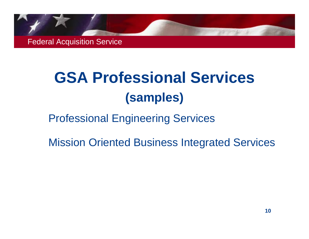## **GSA Professional Services (samples)**

#### Professional Engineering Services

Mission Oriented Business Integrated Services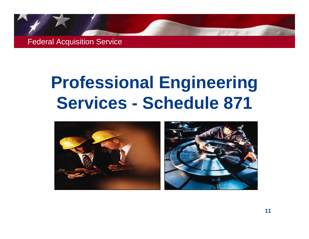## **Professional Engineering Services - Schedule 871**

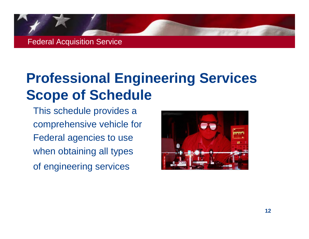

## **Professional Engineering Services Scope of Schedule**

This schedule provides a comprehensive vehicle for Federal agencies to use when obtaining all types of engineering services

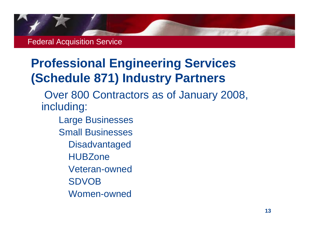### **Professional Engineering Services (Schedule 871) Industry Partners**

 Over 800 Contractors as of January 2008, including:

- Large Businesses Small Businesses**Disadvantaged HUBZone**  Veteran-owned
	- SDVOB
	- Women-owned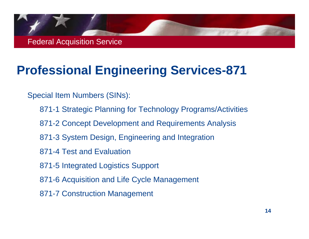

#### **Professional Engineering Services-871**

Special Item Numbers (SINs):

- 871-1 Strategic Planning for Technology Programs/Activities
- 871-2 Concept Development and Requirements Analysis
- 871-3 System Design, Engineering and Integration
- 871-4 Test and Evaluation
- 871-5 Integrated Logistics Support
- 871-6 Acquisition and Life Cycle Management
- 871-7 Construction Management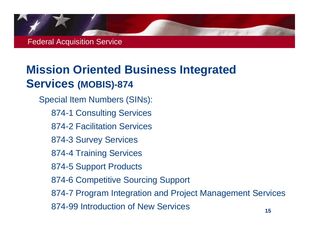

#### **Mission Oriented Business Integrated Services (MOBIS)-874**

 Special Item Numbers (SINs): 874-1 Consulting Services 874-2 Facilitation Services 874-3 Survey Services 874-4 Training Services 874-5 Support Products 874-6 Competitive Sourcing Support 874-7 Program Integration and Project Management Services 874-99 Introduction of New Services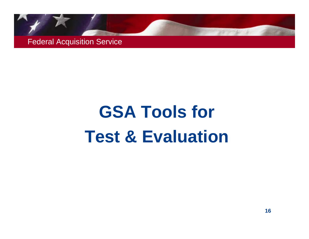# **GSA Tools for Test & Evaluation**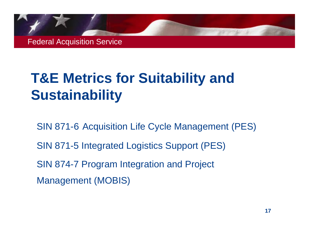## **T&E Metrics for Suitability and Sustainability**

 SIN 871-6 Acquisition Life Cycle Management (PES) SIN 871-5 Integrated Logistics Support (PES) SIN 874-7 Program Integration and Project Management (MOBIS)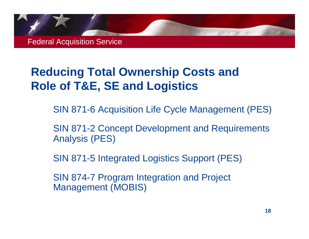#### **Reducing Total Ownership Costs and Role of T&E, SE and Logistics**

SIN 871-6 Acquisition Life Cycle Management (PES)

 SIN 871-2 Concept Development and Requirements Analysis (PES)

SIN 871-5 Integrated Logistics Support (PES)

 SIN 874-7 Program Integration and Project Management (MOBIS)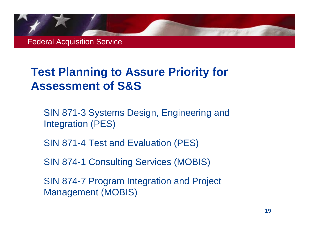#### **Test Planning to Assure Priority for Assessment of S&S**

- SIN 871-3 Systems Design, Engineering and Integration (PES)
- SIN 871-4 Test and Evaluation (PES)
- SIN 874-1 Consulting Services (MOBIS)
- SIN 874-7 Program Integration and Project Management (MOBIS)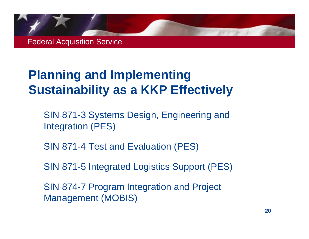#### **Planning and Implementing Sustainability as a KKP Effectively**

 SIN 871-3 Systems Design, Engineering and Integration (PES)

SIN 871-4 Test and Evaluation (PES)

SIN 871-5 Integrated Logistics Support (PES)

 SIN 874-7 Program Integration and Project Management (MOBIS)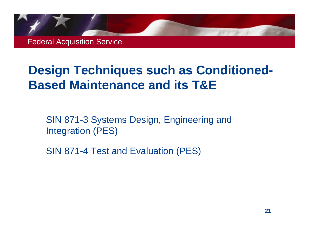### **Design Techniques such as Conditioned-Based Maintenance and its T&E**

 SIN 871-3 Systems Design, Engineering and Integration (PES)

SIN 871-4 Test and Evaluation (PES)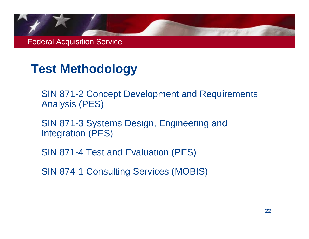#### **Test Methodology**

- SIN 871-2 Concept Development and Requirements Analysis (PES)
- SIN 871-3 Systems Design, Engineering and Integration (PES)
- SIN 871-4 Test and Evaluation (PES)
- SIN 874-1 Consulting Services (MOBIS)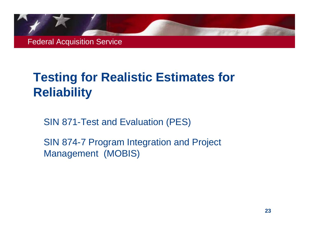### **Testing for Realistic Estimates for Reliability**

SIN 871-Test and Evaluation (PES)

 SIN 874-7 Program Integration and Project Management (MOBIS)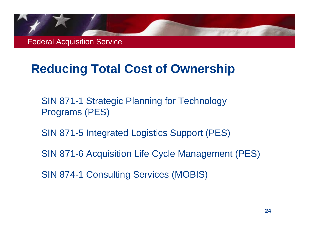### **Reducing Total Cost of Ownership**

- SIN 871-1 Strategic Planning for Technology Programs (PES)
- SIN 871-5 Integrated Logistics Support (PES)
- SIN 871-6 Acquisition Life Cycle Management (PES)
- SIN 874-1 Consulting Services (MOBIS)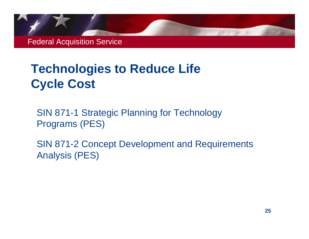#### **Technologies to Reduce Life Cycle Cost**

 SIN 871-1 Strategic Planning for Technology Programs (PES)

 SIN 871-2 Concept Development and Requirements Analysis (PES)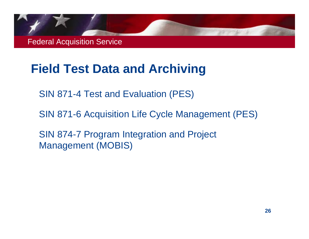#### **Field Test Data and Archiving**

SIN 871-4 Test and Evaluation (PES)

SIN 871-6 Acquisition Life Cycle Management (PES)

 SIN 874-7 Program Integration and Project Management (MOBIS)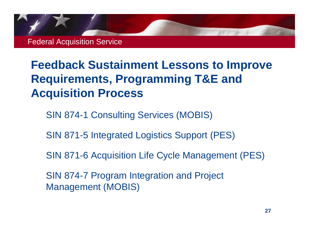

#### **Feedback Sustainment Lessons to Improve Requirements, Programming T&E and Acquisition Process**

SIN 874-1 Consulting Services (MOBIS)

SIN 871-5 Integrated Logistics Support (PES)

SIN 871-6 Acquisition Life Cycle Management (PES)

 SIN 874-7 Program Integration and Project Management (MOBIS)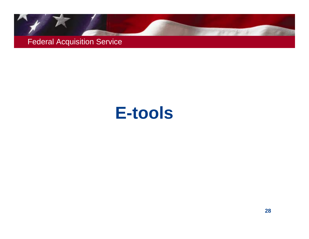

## **E-tools**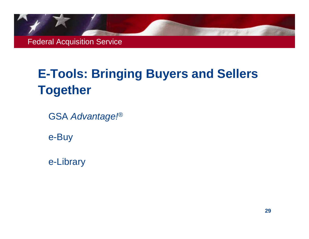### **E-Tools: Bringing Buyers and Sellers Together**

GSA *Advantage!®*

e-Buy

e-Library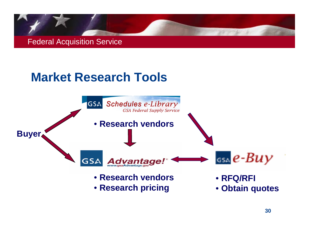

#### **Market Research Tools**

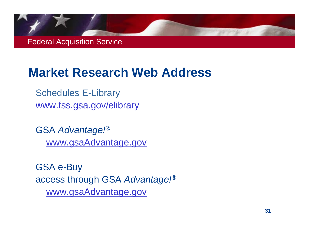#### **Market Research Web Address**

Schedules E-Library www.fss.gsa.gov/elibrary

GSA *Advantage!®* www.gsaAdvantage.gov

GSA e-Buy access through GSA *Advantage!®* www.gsaAdvantage.gov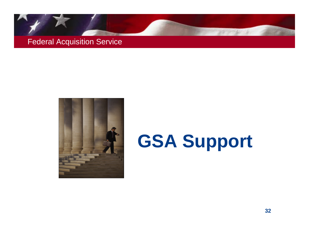



## **GSA Support**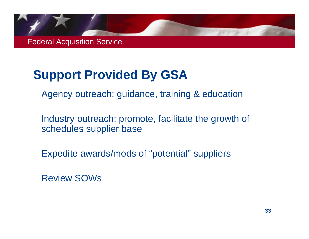### **Support Provided By GSA**

Agency outreach: guidance, training & education

 Industry outreach: promote, facilitate the growth of schedules supplier base

Expedite awards/mods of "potential" suppliers

Review SOWs